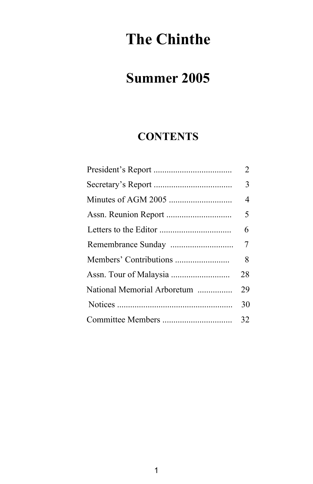# **The Chinthe**

# **Summer 2005**

# **CONTENTS**

|                             | $\overline{2}$ |
|-----------------------------|----------------|
|                             | 3              |
|                             | $\overline{4}$ |
|                             | 5              |
|                             | 6              |
|                             | 7              |
|                             | 8              |
|                             | 28             |
| National Memorial Arboretum | 29             |
|                             | 30             |
|                             | 32             |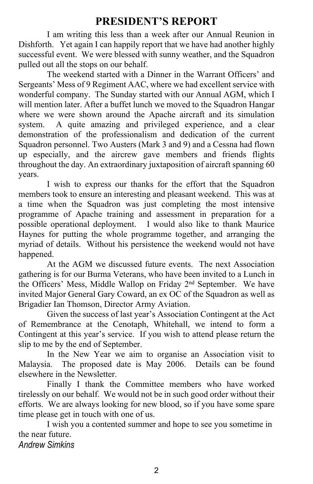# **PRESIDENT'S REPORT**

 I am writing this less than a week after our Annual Reunion in Dishforth. Yet again I can happily report that we have had another highly successful event. We were blessed with sunny weather, and the Squadron pulled out all the stops on our behalf.

 The weekend started with a Dinner in the Warrant Officers' and Sergeants' Mess of 9 Regiment AAC, where we had excellent service with wonderful company. The Sunday started with our Annual AGM, which I will mention later. After a buffet lunch we moved to the Squadron Hangar where we were shown around the Apache aircraft and its simulation system. A quite amazing and privileged experience, and a clear demonstration of the professionalism and dedication of the current Squadron personnel. Two Austers (Mark 3 and 9) and a Cessna had flown up especially, and the aircrew gave members and friends flights throughout the day. An extraordinary juxtaposition of aircraft spanning 60 years.

 I wish to express our thanks for the effort that the Squadron members took to ensure an interesting and pleasant weekend. This was at a time when the Squadron was just completing the most intensive programme of Apache training and assessment in preparation for a possible operational deployment. I would also like to thank Maurice Haynes for putting the whole programme together, and arranging the myriad of details. Without his persistence the weekend would not have happened.

 At the AGM we discussed future events. The next Association gathering is for our Burma Veterans, who have been invited to a Lunch in the Officers' Mess, Middle Wallop on Friday 2nd September. We have invited Major General Gary Coward, an ex OC of the Squadron as well as Brigadier Ian Thomson, Director Army Aviation.

 Given the success of last year's Association Contingent at the Act of Remembrance at the Cenotaph, Whitehall, we intend to form a Contingent at this year's service. If you wish to attend please return the slip to me by the end of September.

 In the New Year we aim to organise an Association visit to Malaysia. The proposed date is May 2006. Details can be found elsewhere in the Newsletter.

 Finally I thank the Committee members who have worked tirelessly on our behalf. We would not be in such good order without their efforts. We are always looking for new blood, so if you have some spare time please get in touch with one of us.

 I wish you a contented summer and hope to see you sometime in the near future. *Andrew Simkins*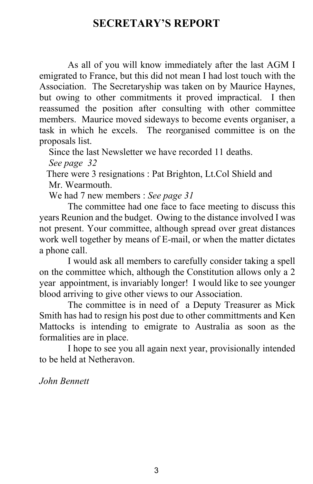# **SECRETARY'S REPORT**

As all of you will know immediately after the last AGM I emigrated to France, but this did not mean I had lost touch with the Association. The Secretaryship was taken on by Maurice Haynes, but owing to other commitments it proved impractical. I then reassumed the position after consulting with other committee members. Maurice moved sideways to become events organiser, a task in which he excels. The reorganised committee is on the proposals list.

Since the last Newsletter we have recorded 11 deaths.

 *See page 32*

 There were 3 resignations : Pat Brighton, Lt.Col Shield and Mr. Wearmouth.

We had 7 new members : *See page 31*

 The committee had one face to face meeting to discuss this years Reunion and the budget. Owing to the distance involved I was not present. Your committee, although spread over great distances work well together by means of E-mail, or when the matter dictates a phone call.

 I would ask all members to carefully consider taking a spell on the committee which, although the Constitution allows only a 2 year appointment, is invariably longer! I would like to see younger blood arriving to give other views to our Association.

 The committee is in need of a Deputy Treasurer as Mick Smith has had to resign his post due to other committments and Ken Mattocks is intending to emigrate to Australia as soon as the formalities are in place.

 I hope to see you all again next year, provisionally intended to be held at Netheravon.

*John Bennett*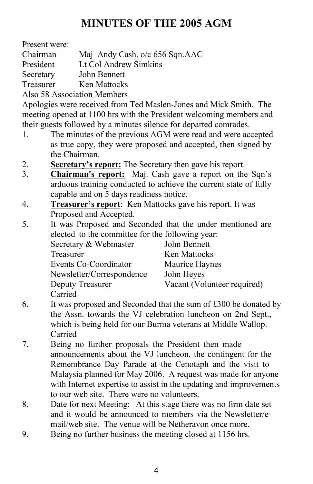# **MINUTES OF THE 2005 AGM**

Present were:

Chairman Maj Andy Cash, o/c 656 Sqn.AAC

President Lt Col Andrew Simkins

Secretary John Bennett

Treasurer Ken Mattocks

Also 58 Association Members

Apologies were received from Ted Maslen-Jones and Mick Smith. The meeting opened at 1100 hrs with the President welcoming members and their guests followed by a minutes silence for departed comrades.

- 1. The minutes of the previous AGM were read and were accepted as true copy, they were proposed and accepted, then signed by the Chairman.
- 2. **Secretary's report:** The Secretary then gave his report.
- 3. **Chairman's report:** Maj. Cash gave a report on the Sqn's arduous training conducted to achieve the current state of fully capable and on 5 days readiness notice.
- 4. **Treasurer's report**: Ken Mattocks gave his report. It was Proposed and Accepted.
- 5. It was Proposed and Seconded that the under mentioned are elected to the committee for the following year:

| Secretary & Webmaster     | John Bennett                |
|---------------------------|-----------------------------|
| Treasurer                 | Ken Mattocks                |
| Events Co-Coordinator     | Maurice Haynes              |
| Newsletter/Correspondence | John Heyes                  |
| Deputy Treasurer          | Vacant (Volunteer required) |
| Carried                   |                             |

- 6. It was proposed and Seconded that the sum of £300 be donated by the Assn. towards the VJ celebration luncheon on 2nd Sept., which is being held for our Burma veterans at Middle Wallop. Carried
- 7. Being no further proposals the President then made announcements about the VJ luncheon, the contingent for the Remembrance Day Parade at the Cenotaph and the visit to Malaysia planned for May 2006. A request was made for anyone with Internet expertise to assist in the updating and improvements to our web site. There were no volunteers.
- 8. Date for next Meeting: At this stage there was no firm date set and it would be announced to members via the Newsletter/e mail/web site. The venue will be Netheravon once more.
- 9. Being no further business the meeting closed at 1156 hrs.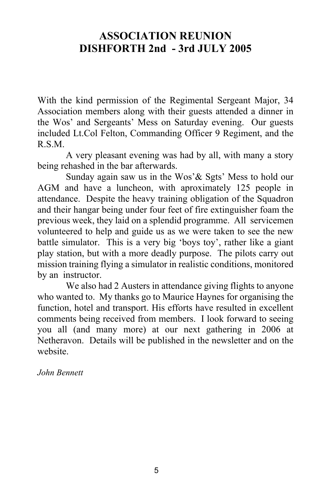# **ASSOCIATION REUNION DISHFORTH 2nd - 3rd JULY 2005**

With the kind permission of the Regimental Sergeant Major, 34 Association members along with their guests attended a dinner in the Wos' and Sergeants' Mess on Saturday evening. Our guests included Lt.Col Felton, Commanding Officer 9 Regiment, and the R.S.M.

 A very pleasant evening was had by all, with many a story being rehashed in the bar afterwards.

 Sunday again saw us in the Wos'& Sgts' Mess to hold our AGM and have a luncheon, with aproximately 125 people in attendance. Despite the heavy training obligation of the Squadron and their hangar being under four feet of fire extinguisher foam the previous week, they laid on a splendid programme. All servicemen volunteered to help and guide us as we were taken to see the new battle simulator. This is a very big 'boys toy', rather like a giant play station, but with a more deadly purpose. The pilots carry out mission training flying a simulator in realistic conditions, monitored by an instructor.

 We also had 2 Austers in attendance giving flights to anyone who wanted to. My thanks go to Maurice Haynes for organising the function, hotel and transport. His efforts have resulted in excellent comments being received from members. I look forward to seeing you all (and many more) at our next gathering in 2006 at Netheravon. Details will be published in the newsletter and on the website.

*John Bennett*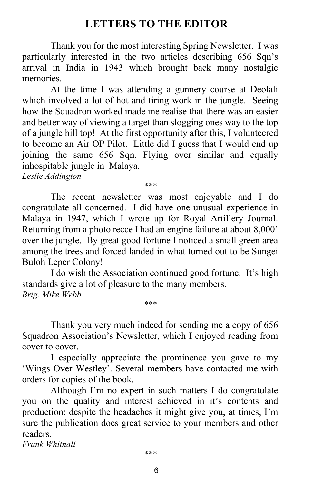# **LETTERS TO THE EDITOR**

 Thank you for the most interesting Spring Newsletter. I was particularly interested in the two articles describing 656 Sqn's arrival in India in 1943 which brought back many nostalgic memories.

 At the time I was attending a gunnery course at Deolali which involved a lot of hot and tiring work in the jungle. Seeing how the Squadron worked made me realise that there was an easier and better way of viewing a target than slogging ones way to the top of a jungle hill top! At the first opportunity after this, I volunteered to become an Air OP Pilot. Little did I guess that I would end up joining the same 656 Sqn. Flying over similar and equally inhospitable jungle in Malaya.

*Leslie Addington*

*\*\*\**

 The recent newsletter was most enjoyable and I do congratulate all concerned. I did have one unusual experience in Malaya in 1947, which I wrote up for Royal Artillery Journal. Returning from a photo recce I had an engine failure at about 8,000' over the jungle. By great good fortune I noticed a small green area among the trees and forced landed in what turned out to be Sungei Buloh Leper Colony!

 I do wish the Association continued good fortune. It's high standards give a lot of pleasure to the many members. *Brig. Mike Webb*

*\*\*\**

Thank you very much indeed for sending me a copy of 656 Squadron Association's Newsletter, which I enjoyed reading from cover to cover.

 I especially appreciate the prominence you gave to my 'Wings Over Westley'. Several members have contacted me with orders for copies of the book.

 Although I'm no expert in such matters I do congratulate you on the quality and interest achieved in it's contents and production: despite the headaches it might give you, at times, I'm sure the publication does great service to your members and other readers.

*Frank Whitnall*

*\*\*\**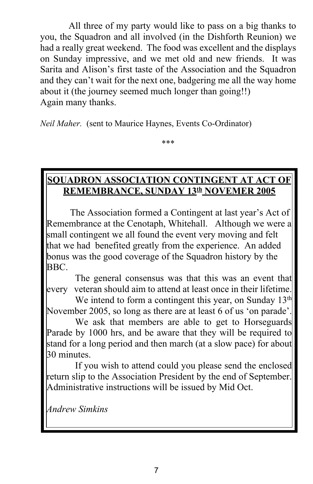All three of my party would like to pass on a big thanks to you, the Squadron and all involved (in the Dishforth Reunion) we had a really great weekend. The food was excellent and the displays on Sunday impressive, and we met old and new friends. It was Sarita and Alison's first taste of the Association and the Squadron and they can't wait for the next one, badgering me all the way home about it (the journey seemed much longer than going!!) Again many thanks.

*Neil Maher.* (sent to Maurice Haynes, Events Co-Ordinator)

\*\*\*

### **SQUADRON ASSOCIATION CONTINGENT AT ACT OF REMEMBRANCE, SUNDAY 13th NOVEMER 2005**

 The Association formed a Contingent at last year's Act of Remembrance at the Cenotaph, Whitehall. Although we were a small contingent we all found the event very moving and felt that we had benefited greatly from the experience. An added bonus was the good coverage of the Squadron history by the BBC.

 The general consensus was that this was an event that every veteran should aim to attend at least once in their lifetime.

We intend to form a contingent this year, on Sunday  $13<sup>th</sup>$ November 2005, so long as there are at least 6 of us 'on parade'.

 We ask that members are able to get to Horseguards Parade by 1000 hrs, and be aware that they will be required to stand for a long period and then march (at a slow pace) for about 30 minutes.

 If you wish to attend could you please send the enclosed return slip to the Association President by the end of September. Administrative instructions will be issued by Mid Oct.

*Andrew Simkins*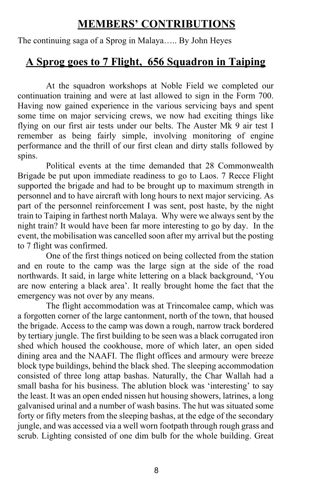# **MEMBERS' CONTRIBUTIONS**

The continuing saga of a Sprog in Malaya….. By John Heyes

## **A Sprog goes to 7 Flight, 656 Squadron in Taiping**

 At the squadron workshops at Noble Field we completed our continuation training and were at last allowed to sign in the Form 700. Having now gained experience in the various servicing bays and spent some time on major servicing crews, we now had exciting things like flying on our first air tests under our belts. The Auster Mk 9 air test I remember as being fairly simple, involving monitoring of engine performance and the thrill of our first clean and dirty stalls followed by spins.

 Political events at the time demanded that 28 Commonwealth Brigade be put upon immediate readiness to go to Laos. 7 Recce Flight supported the brigade and had to be brought up to maximum strength in personnel and to have aircraft with long hours to next major servicing. As part of the personnel reinforcement I was sent, post haste, by the night train to Taiping in farthest north Malaya. Why were we always sent by the night train? It would have been far more interesting to go by day. In the event, the mobilisation was cancelled soon after my arrival but the posting to 7 flight was confirmed.

 One of the first things noticed on being collected from the station and en route to the camp was the large sign at the side of the road northwards. It said, in large white lettering on a black background, 'You are now entering a black area'. It really brought home the fact that the emergency was not over by any means.

 The flight accommodation was at Trincomalee camp, which was a forgotten corner of the large cantonment, north of the town, that housed the brigade. Access to the camp was down a rough, narrow track bordered by tertiary jungle. The first building to be seen was a black corrugated iron shed which housed the cookhouse, more of which later, an open sided dining area and the NAAFI. The flight offices and armoury were breeze block type buildings, behind the black shed. The sleeping accommodation consisted of three long attap bashas. Naturally, the Char Wallah had a small basha for his business. The ablution block was 'interesting' to say the least. It was an open ended nissen hut housing showers, latrines, a long galvanised urinal and a number of wash basins. The hut was situated some forty or fifty meters from the sleeping bashas, at the edge of the secondary jungle, and was accessed via a well worn footpath through rough grass and scrub. Lighting consisted of one dim bulb for the whole building. Great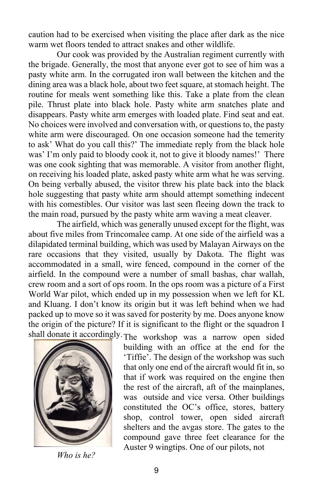caution had to be exercised when visiting the place after dark as the nice warm wet floors tended to attract snakes and other wildlife.

Our cook was provided by the Australian regiment currently with the brigade. Generally, the most that anyone ever got to see of him was a pasty white arm. In the corrugated iron wall between the kitchen and the dining area was a black hole, about two feet square, at stomach height. The routine for meals went something like this. Take a plate from the clean pile. Thrust plate into black hole. Pasty white arm snatches plate and disappears. Pasty white arm emerges with loaded plate. Find seat and eat. No choices were involved and conversation with, or questions to, the pasty white arm were discouraged. On one occasion someone had the temerity to ask' What do you call this?' The immediate reply from the black hole was' I'm only paid to bloody cook it, not to give it bloody names!' There was one cook sighting that was memorable. A visitor from another flight, on receiving his loaded plate, asked pasty white arm what he was serving. On being verbally abused, the visitor threw his plate back into the black hole suggesting that pasty white arm should attempt something indecent with his comestibles. Our visitor was last seen fleeing down the track to the main road, pursued by the pasty white arm waving a meat cleaver.

 The airfield, which was generally unused except for the flight, was about five miles from Trincomalee camp. At one side of the airfield was a dilapidated terminal building, which was used by Malayan Airways on the rare occasions that they visited, usually by Dakota. The flight was accommodated in a small, wire fenced, compound in the corner of the airfield. In the compound were a number of small bashas, char wallah, crew room and a sort of ops room. In the ops room was a picture of a First World War pilot, which ended up in my possession when we left for KL and Kluang. I don't know its origin but it was left behind when we had packed up to move so it was saved for posterity by me. Does anyone know the origin of the picture? If it is significant to the flight or the squadron I shall donate it accordingly.The workshop was a narrow open sided



building with an office at the end for the 'Tiffie'. The design of the workshop was such that only one end of the aircraft would fit in, so that if work was required on the engine then the rest of the aircraft, aft of the mainplanes, was outside and vice versa. Other buildings constituted the OC's office, stores, battery shop, control tower, open sided aircraft shelters and the avgas store. The gates to the compound gave three feet clearance for the Auster 9 wingtips. One of our pilots, not

*Who is he?*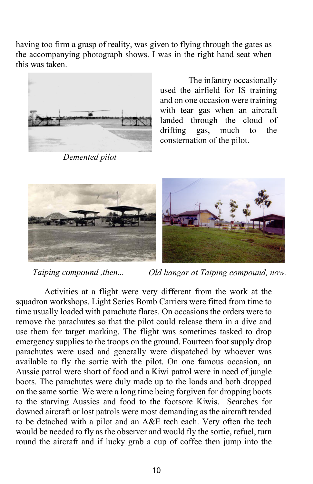having too firm a grasp of reality, was given to flying through the gates as the accompanying photograph shows. I was in the right hand seat when this was taken.



*Demented pilot*

 The infantry occasionally used the airfield for IS training and on one occasion were training with tear gas when an aircraft landed through the cloud of drifting gas, much to the consternation of the pilot.



*Old hangar at Taiping compound, now. Taiping compound ,then...*

 Activities at a flight were very different from the work at the squadron workshops. Light Series Bomb Carriers were fitted from time to time usually loaded with parachute flares. On occasions the orders were to remove the parachutes so that the pilot could release them in a dive and use them for target marking. The flight was sometimes tasked to drop emergency supplies to the troops on the ground. Fourteen foot supply drop parachutes were used and generally were dispatched by whoever was available to fly the sortie with the pilot. On one famous occasion, an Aussie patrol were short of food and a Kiwi patrol were in need of jungle boots. The parachutes were duly made up to the loads and both dropped on the same sortie. We were a long time being forgiven for dropping boots to the starving Aussies and food to the footsore Kiwis. Searches for downed aircraft or lost patrols were most demanding as the aircraft tended to be detached with a pilot and an A&E tech each. Very often the tech would be needed to fly as the observer and would fly the sortie, refuel, turn round the aircraft and if lucky grab a cup of coffee then jump into the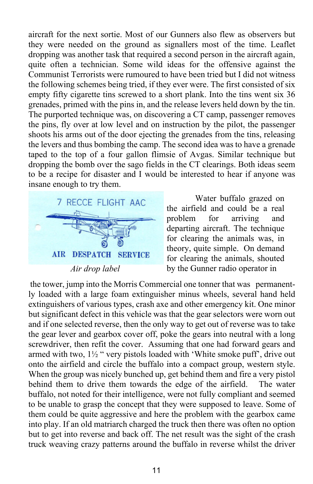aircraft for the next sortie. Most of our Gunners also flew as observers but they were needed on the ground as signallers most of the time. Leaflet dropping was another task that required a second person in the aircraft again, quite often a technician. Some wild ideas for the offensive against the Communist Terrorists were rumoured to have been tried but I did not witness the following schemes being tried, if they ever were. The first consisted of six empty fifty cigarette tins screwed to a short plank. Into the tins went six 36 grenades, primed with the pins in, and the release levers held down by the tin. The purported technique was, on discovering a CT camp, passenger removes the pins, fly over at low level and on instruction by the pilot, the passenger shoots his arms out of the door ejecting the grenades from the tins, releasing the levers and thus bombing the camp. The second idea was to have a grenade taped to the top of a four gallon flimsie of Avgas. Similar technique but dropping the bomb over the sago fields in the CT clearings. Both ideas seem to be a recipe for disaster and I would be interested to hear if anyone was insane enough to try them.



 Water buffalo grazed on the airfield and could be a real problem for arriving and departing aircraft. The technique for clearing the animals was, in theory, quite simple. On demand for clearing the animals, shouted *Air drop label* by the Gunner radio operator in

 the tower, jump into the Morris Commercial one tonner that was permanently loaded with a large foam extinguisher minus wheels, several hand held extinguishers of various types, crash axe and other emergency kit. One minor but significant defect in this vehicle was that the gear selectors were worn out and if one selected reverse, then the only way to get out of reverse was to take the gear lever and gearbox cover off, poke the gears into neutral with a long screwdriver, then refit the cover. Assuming that one had forward gears and armed with two, 1½ " very pistols loaded with 'White smoke puff', drive out onto the airfield and circle the buffalo into a compact group, western style. When the group was nicely bunched up, get behind them and fire a very pistol behind them to drive them towards the edge of the airfield. The water buffalo, not noted for their intelligence, were not fully compliant and seemed to be unable to grasp the concept that they were supposed to leave. Some of them could be quite aggressive and here the problem with the gearbox came into play. If an old matriarch charged the truck then there was often no option but to get into reverse and back off. The net result was the sight of the crash truck weaving crazy patterns around the buffalo in reverse whilst the driver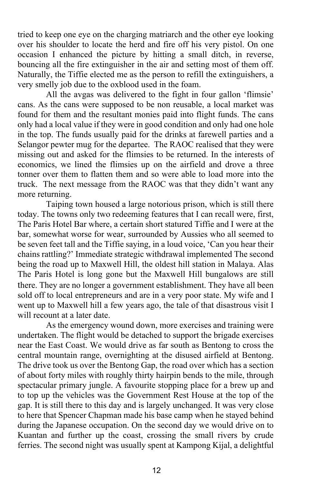tried to keep one eye on the charging matriarch and the other eye looking over his shoulder to locate the herd and fire off his very pistol. On one occasion I enhanced the picture by hitting a small ditch, in reverse, bouncing all the fire extinguisher in the air and setting most of them off. Naturally, the Tiffie elected me as the person to refill the extinguishers, a very smelly job due to the oxblood used in the foam.

 All the avgas was delivered to the fight in four gallon 'flimsie' cans. As the cans were supposed to be non reusable, a local market was found for them and the resultant monies paid into flight funds. The cans only had a local value if they were in good condition and only had one hole in the top. The funds usually paid for the drinks at farewell parties and a Selangor pewter mug for the departee. The RAOC realised that they were missing out and asked for the flimsies to be returned. In the interests of economics, we lined the flimsies up on the airfield and drove a three tonner over them to flatten them and so were able to load more into the truck. The next message from the RAOC was that they didn't want any more returning.

Taiping town housed a large notorious prison, which is still there today. The towns only two redeeming features that I can recall were, first, The Paris Hotel Bar where, a certain short statured Tiffie and I were at the bar, somewhat worse for wear, surrounded by Aussies who all seemed to be seven feet tall and the Tiffie saying, in a loud voice, 'Can you hear their chains rattling?' Immediate strategic withdrawal implemented The second being the road up to Maxwell Hill, the oldest hill station in Malaya. Alas The Paris Hotel is long gone but the Maxwell Hill bungalows are still there. They are no longer a government establishment. They have all been sold off to local entrepreneurs and are in a very poor state. My wife and I went up to Maxwell hill a few years ago, the tale of that disastrous visit I will recount at a later date.

 As the emergency wound down, more exercises and training were undertaken. The flight would be detached to support the brigade exercises near the East Coast. We would drive as far south as Bentong to cross the central mountain range, overnighting at the disused airfield at Bentong. The drive took us over the Bentong Gap, the road over which has a section of about forty miles with roughly thirty hairpin bends to the mile, through spectacular primary jungle. A favourite stopping place for a brew up and to top up the vehicles was the Government Rest House at the top of the gap. It is still there to this day and is largely unchanged. It was very close to here that Spencer Chapman made his base camp when he stayed behind during the Japanese occupation. On the second day we would drive on to Kuantan and further up the coast, crossing the small rivers by crude ferries. The second night was usually spent at Kampong Kijal, a delightful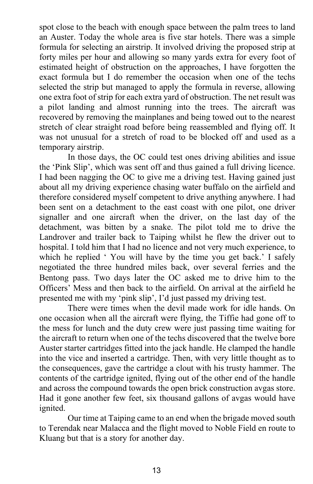spot close to the beach with enough space between the palm trees to land an Auster. Today the whole area is five star hotels. There was a simple formula for selecting an airstrip. It involved driving the proposed strip at forty miles per hour and allowing so many yards extra for every foot of estimated height of obstruction on the approaches, I have forgotten the exact formula but I do remember the occasion when one of the techs selected the strip but managed to apply the formula in reverse, allowing one extra foot of strip for each extra yard of obstruction. The net result was a pilot landing and almost running into the trees. The aircraft was recovered by removing the mainplanes and being towed out to the nearest stretch of clear straight road before being reassembled and flying off. It was not unusual for a stretch of road to be blocked off and used as a temporary airstrip.

 In those days, the OC could test ones driving abilities and issue the 'Pink Slip', which was sent off and thus gained a full driving licence. I had been nagging the OC to give me a driving test. Having gained just about all my driving experience chasing water buffalo on the airfield and therefore considered myself competent to drive anything anywhere. I had been sent on a detachment to the east coast with one pilot, one driver signaller and one aircraft when the driver, on the last day of the detachment, was bitten by a snake. The pilot told me to drive the Landrover and trailer back to Taiping whilst he flew the driver out to hospital. I told him that I had no licence and not very much experience, to which he replied ' You will have by the time you get back.' I safely negotiated the three hundred miles back, over several ferries and the Bentong pass. Two days later the OC asked me to drive him to the Officers' Mess and then back to the airfield. On arrival at the airfield he presented me with my 'pink slip', I'd just passed my driving test.

 There were times when the devil made work for idle hands. On one occasion when all the aircraft were flying, the Tiffie had gone off to the mess for lunch and the duty crew were just passing time waiting for the aircraft to return when one of the techs discovered that the twelve bore Auster starter cartridges fitted into the jack handle. He clamped the handle into the vice and inserted a cartridge. Then, with very little thought as to the consequences, gave the cartridge a clout with his trusty hammer. The contents of the cartridge ignited, flying out of the other end of the handle and across the compound towards the open brick construction avgas store. Had it gone another few feet, six thousand gallons of avgas would have ignited.

 Our time at Taiping came to an end when the brigade moved south to Terendak near Malacca and the flight moved to Noble Field en route to Kluang but that is a story for another day.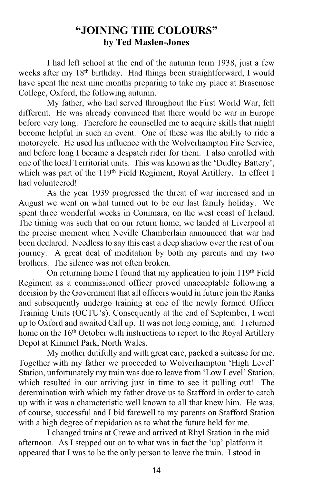### **"JOINING THE COLOURS" by Ted Maslen-Jones**

I had left school at the end of the autumn term 1938, just a few weeks after my 18<sup>th</sup> birthday. Had things been straightforward, I would have spent the next nine months preparing to take my place at Brasenose College, Oxford, the following autumn.

 My father, who had served throughout the First World War, felt different. He was already convinced that there would be war in Europe before very long. Therefore he counselled me to acquire skills that might become helpful in such an event. One of these was the ability to ride a motorcycle. He used his influence with the Wolverhampton Fire Service, and before long I became a despatch rider for them. I also enrolled with one of the local Territorial units. This was known as the 'Dudley Battery', which was part of the 119<sup>th</sup> Field Regiment, Royal Artillery. In effect I had volunteered!

 As the year 1939 progressed the threat of war increased and in August we went on what turned out to be our last family holiday. We spent three wonderful weeks in Conimara, on the west coast of Ireland. The timing was such that on our return home, we landed at Liverpool at the precise moment when Neville Chamberlain announced that war had been declared. Needless to say this cast a deep shadow over the rest of our journey. A great deal of meditation by both my parents and my two brothers. The silence was not often broken.

 On returning home I found that my application to join 119th Field Regiment as a commissioned officer proved unacceptable following a decision by the Government that all officers would in future join the Ranks and subsequently undergo training at one of the newly formed Officer Training Units (OCTU's). Consequently at the end of September, I went up to Oxford and awaited Call up. It was not long coming, and I returned home on the 16<sup>th</sup> October with instructions to report to the Royal Artillery Depot at Kimmel Park, North Wales.

 My mother dutifully and with great care, packed a suitcase for me. Together with my father we proceeded to Wolverhampton 'High Level' Station, unfortunately my train was due to leave from 'Low Level' Station, which resulted in our arriving just in time to see it pulling out! The determination with which my father drove us to Stafford in order to catch up with it was a characteristic well known to all that knew him. He was, of course, successful and I bid farewell to my parents on Stafford Station with a high degree of trepidation as to what the future held for me.

 I changed trains at Crewe and arrived at Rhyl Station in the mid afternoon. As I stepped out on to what was in fact the 'up' platform it appeared that I was to be the only person to leave the train. I stood in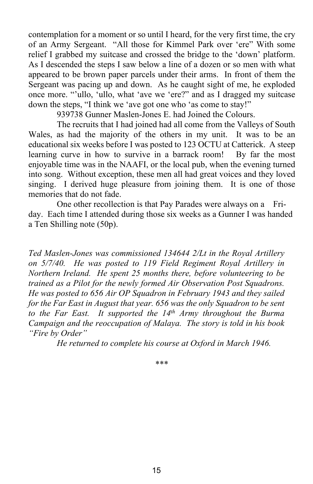contemplation for a moment or so until I heard, for the very first time, the cry of an Army Sergeant. "All those for Kimmel Park over 'ere" With some relief I grabbed my suitcase and crossed the bridge to the 'down' platform. As I descended the steps I saw below a line of a dozen or so men with what appeared to be brown paper parcels under their arms. In front of them the Sergeant was pacing up and down. As he caught sight of me, he exploded once more. "'ullo, 'ullo, what 'ave we 'ere?" and as I dragged my suitcase down the steps, "I think we 'ave got one who 'as come to stay!"

939738 Gunner Maslen-Jones E. had Joined the Colours.

 The recruits that I had joined had all come from the Valleys of South Wales, as had the majority of the others in my unit. It was to be an educational six weeks before I was posted to 123 OCTU at Catterick. A steep learning curve in how to survive in a barrack room! By far the most enjoyable time was in the NAAFI, or the local pub, when the evening turned into song. Without exception, these men all had great voices and they loved singing. I derived huge pleasure from joining them. It is one of those memories that do not fade.

 One other recollection is that Pay Parades were always on a Friday. Each time I attended during those six weeks as a Gunner I was handed a Ten Shilling note (50p).

*Ted Maslen-Jones was commissioned 134644 2/Lt in the Royal Artillery on 5/7/40. He was posted to 119 Field Regiment Royal Artillery in Northern Ireland. He spent 25 months there, before volunteering to be trained as a Pilot for the newly formed Air Observation Post Squadrons. He was posted to 656 Air OP Squadron in February 1943 and they sailed for the Far East in August that year. 656 was the only Squadron to be sent to the Far East. It supported the 14th Army throughout the Burma Campaign and the reoccupation of Malaya. The story is told in his book "Fire by Order"*

 *He returned to complete his course at Oxford in March 1946.*

\*\*\*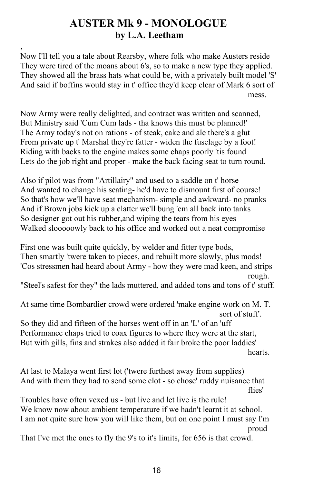# **AUSTER Mk 9 - MONOLOGUE by L.A. Leetham**

, Now I'll tell you a tale about Rearsby, where folk who make Austers reside They were tired of the moans about 6's, so to make a new type they applied. They showed all the brass hats what could be, with a privately built model 'S' And said if boffins would stay in t' office they'd keep clear of Mark 6 sort of mess.

Now Army were really delighted, and contract was written and scanned, But Ministry said 'Cum Cum lads - tha knows this must be planned!' The Army today's not on rations - of steak, cake and ale there's a glut From private up t' Marshal they're fatter - widen the fuselage by a foot! Riding with backs to the engine makes some chaps poorly 'tis found Lets do the job right and proper - make the back facing seat to turn round.

Also if pilot was from "Artillairy" and used to a saddle on t' horse And wanted to change his seating- he'd have to dismount first of course! So that's how we'll have seat mechanism- simple and awkward- no pranks And if Brown jobs kick up a clatter we'll bung 'em all back into tanks So designer got out his rubber,and wiping the tears from his eyes Walked slooooowly back to his office and worked out a neat compromise

First one was built quite quickly, by welder and fitter type bods, Then smartly 'twere taken to pieces, and rebuilt more slowly, plus mods! 'Cos stressmen had heard about Army - how they were mad keen, and strips rough. The contract of the contract of the contract of the contract of the contract of the contract of the contract of the contract of the contract of the contract of the contract of the contract of the contract of the con

"Steel's safest for they" the lads muttered, and added tons and tons of t' stuff.

At same time Bombardier crowd were ordered 'make engine work on M. T. sort of stuff'.

So they did and fifteen of the horses went off in an 'L' of an 'uff Performance chaps tried to coax figures to where they were at the start, But with gills, fins and strakes also added it fair broke the poor laddies' hearts.

At last to Malaya went first lot ('twere furthest away from supplies) And with them they had to send some clot - so chose' ruddy nuisance that flies'

Troubles have often vexed us - but live and let live is the rule! We know now about ambient temperature if we hadn't learnt it at school. I am not quite sure how you will like them, but on one point I must say I'm proud

That I've met the ones to fly the 9's to it's limits, for 656 is that crowd.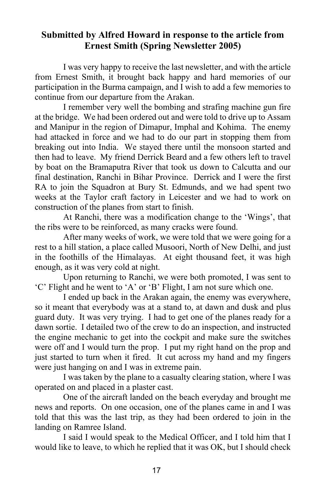### **Submitted by Alfred Howard in response to the article from Ernest Smith (Spring Newsletter 2005)**

I was very happy to receive the last newsletter, and with the article from Ernest Smith, it brought back happy and hard memories of our participation in the Burma campaign, and I wish to add a few memories to continue from our departure from the Arakan.

I remember very well the bombing and strafing machine gun fire at the bridge. We had been ordered out and were told to drive up to Assam and Manipur in the region of Dimapur, Imphal and Kohima. The enemy had attacked in force and we had to do our part in stopping them from breaking out into India. We stayed there until the monsoon started and then had to leave. My friend Derrick Beard and a few others left to travel by boat on the Bramaputra River that took us down to Calcutta and our final destination, Ranchi in Bihar Province. Derrick and I were the first RA to join the Squadron at Bury St. Edmunds, and we had spent two weeks at the Taylor craft factory in Leicester and we had to work on construction of the planes from start to finish.

At Ranchi, there was a modification change to the 'Wings', that the ribs were to be reinforced, as many cracks were found.

After many weeks of work, we were told that we were going for a rest to a hill station, a place called Musoori, North of New Delhi, and just in the foothills of the Himalayas. At eight thousand feet, it was high enough, as it was very cold at night.

Upon returning to Ranchi, we were both promoted, I was sent to 'C' Flight and he went to 'A' or 'B' Flight, I am not sure which one.

I ended up back in the Arakan again, the enemy was everywhere, so it meant that everybody was at a stand to, at dawn and dusk and plus guard duty. It was very trying. I had to get one of the planes ready for a dawn sortie. I detailed two of the crew to do an inspection, and instructed the engine mechanic to get into the cockpit and make sure the switches were off and I would turn the prop. I put my right hand on the prop and just started to turn when it fired. It cut across my hand and my fingers were just hanging on and I was in extreme pain.

I was taken by the plane to a casualty clearing station, where I was operated on and placed in a plaster cast.

One of the aircraft landed on the beach everyday and brought me news and reports. On one occasion, one of the planes came in and I was told that this was the last trip, as they had been ordered to join in the landing on Ramree Island.

I said I would speak to the Medical Officer, and I told him that I would like to leave, to which he replied that it was OK, but I should check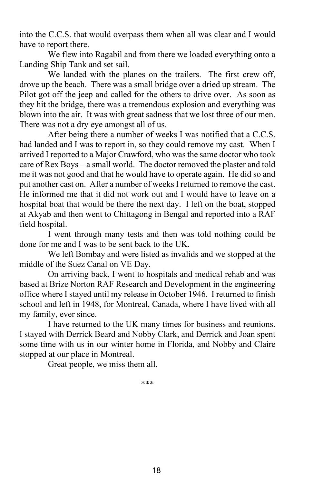into the C.C.S. that would overpass them when all was clear and I would have to report there.

We flew into Ragabil and from there we loaded everything onto a Landing Ship Tank and set sail.

We landed with the planes on the trailers. The first crew off, drove up the beach. There was a small bridge over a dried up stream. The Pilot got off the jeep and called for the others to drive over. As soon as they hit the bridge, there was a tremendous explosion and everything was blown into the air. It was with great sadness that we lost three of our men. There was not a dry eye amongst all of us.

After being there a number of weeks I was notified that a C.C.S. had landed and I was to report in, so they could remove my cast. When I arrived I reported to a Major Crawford, who was the same doctor who took care of Rex Boys – a small world. The doctor removed the plaster and told me it was not good and that he would have to operate again. He did so and put another cast on. After a number of weeks I returned to remove the cast. He informed me that it did not work out and I would have to leave on a hospital boat that would be there the next day. I left on the boat, stopped at Akyab and then went to Chittagong in Bengal and reported into a RAF field hospital.

I went through many tests and then was told nothing could be done for me and I was to be sent back to the UK.

We left Bombay and were listed as invalids and we stopped at the middle of the Suez Canal on VE Day.

On arriving back, I went to hospitals and medical rehab and was based at Brize Norton RAF Research and Development in the engineering office where I stayed until my release in October 1946. I returned to finish school and left in 1948, for Montreal, Canada, where I have lived with all my family, ever since.

I have returned to the UK many times for business and reunions. I stayed with Derrick Beard and Nobby Clark, and Derrick and Joan spent some time with us in our winter home in Florida, and Nobby and Claire stopped at our place in Montreal.

Great people, we miss them all.

\*\*\*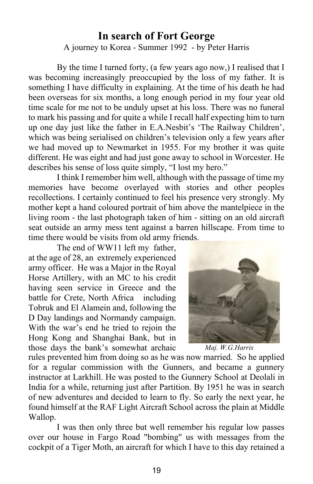### **In search of Fort George**

A journey to Korea - Summer 1992 - by Peter Harris

By the time I turned forty, (a few years ago now,) I realised that I was becoming increasingly preoccupied by the loss of my father. It is something I have difficulty in explaining. At the time of his death he had been overseas for six months, a long enough period in my four year old time scale for me not to be unduly upset at his loss. There was no funeral to mark his passing and for quite a while I recall half expecting him to turn up one day just like the father in E.A.Nesbit's 'The Railway Children', which was being serialised on children's television only a few years after we had moved up to Newmarket in 1955. For my brother it was quite different. He was eight and had just gone away to school in Worcester. He describes his sense of loss quite simply, "I lost my hero."

I think I remember him well, although with the passage of time my memories have become overlayed with stories and other peoples recollections. I certainly continued to feel his presence very strongly. My mother kept a hand coloured portrait of him above the mantelpiece in the living room - the last photograph taken of him - sitting on an old aircraft seat outside an army mess tent against a barren hillscape. From time to time there would be visits from old army friends.

The end of WW11 left my father, at the age of 28, an extremely experienced army officer. He was a Major in the Royal Horse Artillery, with an MC to his credit having seen service in Greece and the battle for Crete, North Africa including Tobruk and El Alamein and, following the D Day landings and Normandy campaign. With the war's end he tried to rejoin the Hong Kong and Shanghai Bank, but in those days the bank's somewhat archaic *Maj. W.G.Harris*



rules prevented him from doing so as he was now married. So he applied for a regular commission with the Gunners, and became a gunnery instructor at Larkhill. He was posted to the Gunnery School at Deolali in India for a while, returning just after Partition. By 1951 he was in search of new adventures and decided to learn to fly. So early the next year, he found himself at the RAF Light Aircraft School across the plain at Middle Wallop.

I was then only three but well remember his regular low passes over our house in Fargo Road "bombing" us with messages from the cockpit of a Tiger Moth, an aircraft for which I have to this day retained a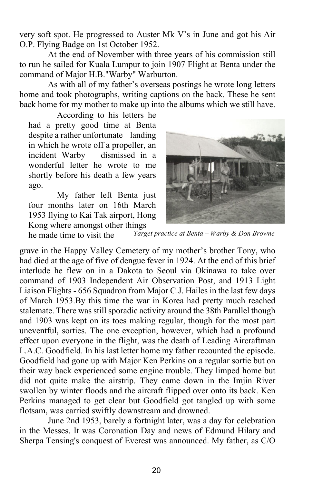very soft spot. He progressed to Auster Mk V's in June and got his Air O.P. Flying Badge on 1st October 1952.

At the end of November with three years of his commission still to run he sailed for Kuala Lumpur to join 1907 Flight at Benta under the command of Major H.B."Warby" Warburton.

As with all of my father's overseas postings he wrote long letters home and took photographs, writing captions on the back. These he sent back home for my mother to make up into the albums which we still have.

According to his letters he had a pretty good time at Benta despite a rather unfortunate landing in which he wrote off a propeller, an incident Warby dismissed in a wonderful letter he wrote to me shortly before his death a few years ago.

 My father left Benta just four months later on 16th March 1953 flying to Kai Tak airport, Hong Kong where amongst other things



 *Target practice at Benta – Warby & Don Browne* he made time to visit the

grave in the Happy Valley Cemetery of my mother's brother Tony, who had died at the age of five of dengue fever in 1924. At the end of this brief interlude he flew on in a Dakota to Seoul via Okinawa to take over command of 1903 Independent Air Observation Post, and 1913 Light Liaison Flights - 656 Squadron from Major C.J. Hailes in the last few days of March 1953.By this time the war in Korea had pretty much reached stalemate. There was still sporadic activity around the 38th Parallel though and 1903 was kept on its toes making regular, though for the most part uneventful, sorties. The one exception, however, which had a profound effect upon everyone in the flight, was the death of Leading Aircraftman L.A.C. Goodfield. In his last letter home my father recounted the episode. Goodfield had gone up with Major Ken Perkins on a regular sortie but on their way back experienced some engine trouble. They limped home but did not quite make the airstrip. They came down in the Imjin River swollen by winter floods and the aircraft flipped over onto its back. Ken Perkins managed to get clear but Goodfield got tangled up with some flotsam, was carried swiftly downstream and drowned.

June 2nd 1953, barely a fortnight later, was a day for celebration in the Messes. It was Coronation Day and news of Edmund Hilary and Sherpa Tensing's conquest of Everest was announced. My father, as C/O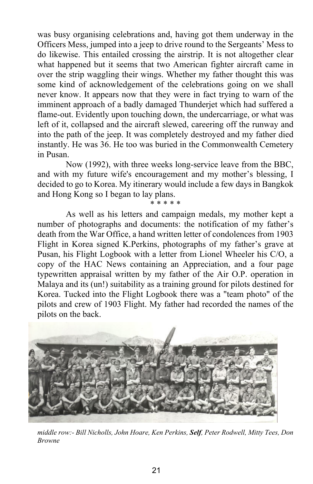was busy organising celebrations and, having got them underway in the Officers Mess, jumped into a jeep to drive round to the Sergeants' Mess to do likewise. This entailed crossing the airstrip. It is not altogether clear what happened but it seems that two American fighter aircraft came in over the strip waggling their wings. Whether my father thought this was some kind of acknowledgement of the celebrations going on we shall never know. It appears now that they were in fact trying to warn of the imminent approach of a badly damaged Thunderjet which had suffered a flame-out. Evidently upon touching down, the undercarriage, or what was left of it, collapsed and the aircraft slewed, careering off the runway and into the path of the jeep. It was completely destroyed and my father died instantly. He was 36. He too was buried in the Commonwealth Cemetery in Pusan.

Now (1992), with three weeks long-service leave from the BBC, and with my future wife's encouragement and my mother's blessing, I decided to go to Korea. My itinerary would include a few days in Bangkok and Hong Kong so I began to lay plans.

\* \* \* \* \* As well as his letters and campaign medals, my mother kept a number of photographs and documents: the notification of my father's death from the War Office, a hand written letter of condolences from 1903 Flight in Korea signed K.Perkins, photographs of my father's grave at Pusan, his Flight Logbook with a letter from Lionel Wheeler his C/O, a copy of the HAC News containing an Appreciation, and a four page typewritten appraisal written by my father of the Air O.P. operation in Malaya and its (un!) suitability as a training ground for pilots destined for Korea. Tucked into the Flight Logbook there was a "team photo" of the pilots and crew of 1903 Flight. My father had recorded the names of the pilots on the back.



*middle row:- Bill Nicholls, John Hoare, Ken Perkins, Self, Peter Rodwell, Mitty Tees, Don Browne*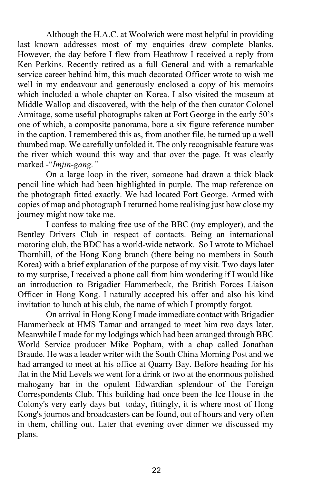Although the H.A.C. at Woolwich were most helpful in providing last known addresses most of my enquiries drew complete blanks. However, the day before I flew from Heathrow I received a reply from Ken Perkins. Recently retired as a full General and with a remarkable service career behind him, this much decorated Officer wrote to wish me well in my endeavour and generously enclosed a copy of his memoirs which included a whole chapter on Korea. I also visited the museum at Middle Wallop and discovered, with the help of the then curator Colonel Armitage, some useful photographs taken at Fort George in the early 50's one of which, a composite panorama, bore a six figure reference number in the caption. I remembered this as, from another file, he turned up a well thumbed map. We carefully unfolded it. The only recognisable feature was the river which wound this way and that over the page. It was clearly marked -"*Imjin-gang."*

On a large loop in the river, someone had drawn a thick black pencil line which had been highlighted in purple. The map reference on the photograph fitted exactly. We had located Fort George. Armed with copies of map and photograph I returned home realising just how close my journey might now take me.

I confess to making free use of the BBC (my employer), and the Bentley Drivers Club in respect of contacts. Being an international motoring club, the BDC has a world-wide network. So I wrote to Michael Thornhill, of the Hong Kong branch (there being no members in South Korea) with a brief explanation of the purpose of my visit. Two days later to my surprise, I received a phone call from him wondering if I would like an introduction to Brigadier Hammerbeck, the British Forces Liaison Officer in Hong Kong. I naturally accepted his offer and also his kind invitation to lunch at his club, the name of which I promptly forgot.

On arrival in Hong Kong I made immediate contact with Brigadier Hammerbeck at HMS Tamar and arranged to meet him two days later. Meanwhile I made for my lodgings which had been arranged through BBC World Service producer Mike Popham, with a chap called Jonathan Braude. He was a leader writer with the South China Morning Post and we had arranged to meet at his office at Quarry Bay. Before heading for his flat in the Mid Levels we went for a drink or two at the enormous polished mahogany bar in the opulent Edwardian splendour of the Foreign Correspondents Club. This building had once been the Ice House in the Colony's very early days but today, fittingly, it is where most of Hong Kong's journos and broadcasters can be found, out of hours and very often in them, chilling out. Later that evening over dinner we discussed my plans.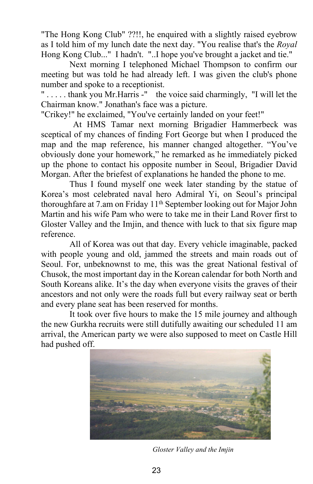"The Hong Kong Club" ??!!, he enquired with a slightly raised eyebrow as I told him of my lunch date the next day. "You realise that's the *Royal* Hong Kong Club..." I hadn't. "..I hope you've brought a jacket and tie."

Next morning I telephoned Michael Thompson to confirm our meeting but was told he had already left. I was given the club's phone number and spoke to a receptionist.

" . . . . . thank you Mr.Harris -" the voice said charmingly, "I will let the Chairman know." Jonathan's face was a picture.

"Crikey!" he exclaimed, "You've certainly landed on your feet!"

At HMS Tamar next morning Brigadier Hammerbeck was sceptical of my chances of finding Fort George but when I produced the map and the map reference, his manner changed altogether. "You've obviously done your homework," he remarked as he immediately picked up the phone to contact his opposite number in Seoul, Brigadier David Morgan. After the briefest of explanations he handed the phone to me.

Thus I found myself one week later standing by the statue of Korea's most celebrated naval hero Admiral Yi, on Seoul's principal thoroughfare at 7.am on Friday 11th September looking out for Major John Martin and his wife Pam who were to take me in their Land Rover first to Gloster Valley and the Imjin, and thence with luck to that six figure map reference.

All of Korea was out that day. Every vehicle imaginable, packed with people young and old, jammed the streets and main roads out of Seoul. For, unbeknownst to me, this was the great National festival of Chusok, the most important day in the Korean calendar for both North and South Koreans alike. It's the day when everyone visits the graves of their ancestors and not only were the roads full but every railway seat or berth and every plane seat has been reserved for months.

It took over five hours to make the 15 mile journey and although the new Gurkha recruits were still dutifully awaiting our scheduled 11 am arrival, the American party we were also supposed to meet on Castle Hill had pushed off.



 *Gloster Valley and the Imjin*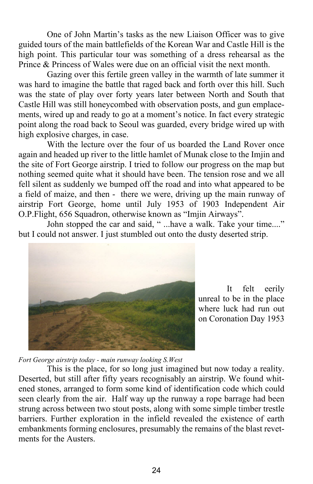One of John Martin's tasks as the new Liaison Officer was to give guided tours of the main battlefields of the Korean War and Castle Hill is the high point. This particular tour was something of a dress rehearsal as the Prince & Princess of Wales were due on an official visit the next month.

Gazing over this fertile green valley in the warmth of late summer it was hard to imagine the battle that raged back and forth over this hill. Such was the state of play over forty years later between North and South that Castle Hill was still honeycombed with observation posts, and gun emplacements, wired up and ready to go at a moment's notice. In fact every strategic point along the road back to Seoul was guarded, every bridge wired up with high explosive charges, in case.

With the lecture over the four of us boarded the Land Rover once again and headed up river to the little hamlet of Munak close to the Imjin and the site of Fort George airstrip. I tried to follow our progress on the map but nothing seemed quite what it should have been. The tension rose and we all fell silent as suddenly we bumped off the road and into what appeared to be a field of maize, and then - there we were, driving up the main runway of airstrip Fort George, home until July 1953 of 1903 Independent Air O.P.Flight, 656 Squadron, otherwise known as "Imjin Airways".

John stopped the car and said, " ...have a walk. Take your time...." but I could not answer. I just stumbled out onto the dusty deserted strip.



 It felt eerily unreal to be in the place where luck had run out on Coronation Day 1953

*Fort George airstrip today - main runway looking S.West*

 This is the place, for so long just imagined but now today a reality. Deserted, but still after fifty years recognisably an airstrip. We found whitened stones, arranged to form some kind of identification code which could seen clearly from the air. Half way up the runway a rope barrage had been strung across between two stout posts, along with some simple timber trestle barriers. Further exploration in the infield revealed the existence of earth embankments forming enclosures, presumably the remains of the blast revetments for the Austers.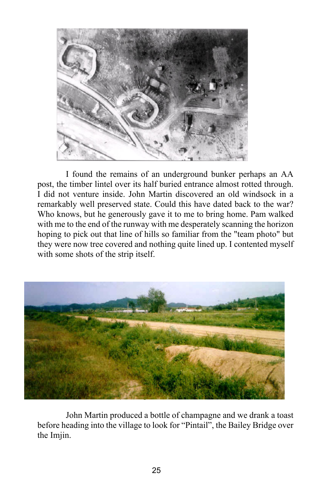

 I found the remains of an underground bunker perhaps an AA post, the timber lintel over its half buried entrance almost rotted through. I did not venture inside. John Martin discovered an old windsock in a remarkably well preserved state. Could this have dated back to the war? Who knows, but he generously gave it to me to bring home. Pam walked with me to the end of the runway with me desperately scanning the horizon hoping to pick out that line of hills so familiar from the "team photo" but they were now tree covered and nothing quite lined up. I contented myself with some shots of the strip itself.



John Martin produced a bottle of champagne and we drank a toast before heading into the village to look for "Pintail", the Bailey Bridge over the Imjin.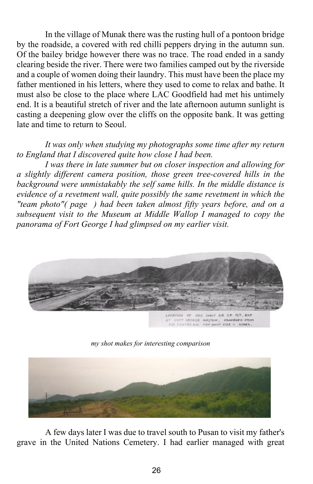In the village of Munak there was the rusting hull of a pontoon bridge by the roadside, a covered with red chilli peppers drying in the autumn sun. Of the bailey bridge however there was no trace. The road ended in a sandy clearing beside the river. There were two families camped out by the riverside and a couple of women doing their laundry. This must have been the place my father mentioned in his letters, where they used to come to relax and bathe. It must also be close to the place where LAC Goodfield had met his untimely end. It is a beautiful stretch of river and the late afternoon autumn sunlight is casting a deepening glow over the cliffs on the opposite bank. It was getting late and time to return to Seoul.

#### *It was only when studying my photographs some time after my return to England that I discovered quite how close I had been.*

*I was there in late summer but on closer inspection and allowing for a slightly different camera position, those green tree-covered hills in the background were unmistakably the self same hills. In the middle distance is evidence of a revetment wall, quite possibly the same revetment in which the "team photo"( page ) had been taken almost fifty years before, and on a subsequent visit to the Museum at Middle Wallop I managed to copy the panorama of Fort George I had glimpsed on my earlier visit.*



*my shot makes for interesting comparison*



A few days later I was due to travel south to Pusan to visit my father's grave in the United Nations Cemetery. I had earlier managed with great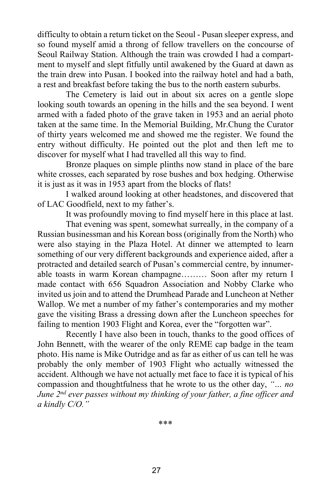difficulty to obtain a return ticket on the Seoul - Pusan sleeper express, and so found myself amid a throng of fellow travellers on the concourse of Seoul Railway Station. Although the train was crowded I had a compartment to myself and slept fitfully until awakened by the Guard at dawn as the train drew into Pusan. I booked into the railway hotel and had a bath, a rest and breakfast before taking the bus to the north eastern suburbs.

The Cemetery is laid out in about six acres on a gentle slope looking south towards an opening in the hills and the sea beyond. I went armed with a faded photo of the grave taken in 1953 and an aerial photo taken at the same time. In the Memorial Building, Mr.Chung the Curator of thirty years welcomed me and showed me the register. We found the entry without difficulty. He pointed out the plot and then left me to discover for myself what I had travelled all this way to find.

Bronze plaques on simple plinths now stand in place of the bare white crosses, each separated by rose bushes and box hedging. Otherwise it is just as it was in 1953 apart from the blocks of flats!

I walked around looking at other headstones, and discovered that of LAC Goodfield, next to my father's.

It was profoundly moving to find myself here in this place at last.

That evening was spent, somewhat surreally, in the company of a Russian businessman and his Korean boss (originally from the North) who were also staying in the Plaza Hotel. At dinner we attempted to learn something of our very different backgrounds and experience aided, after a protracted and detailed search of Pusan's commercial centre, by innumerable toasts in warm Korean champagne……… Soon after my return I made contact with 656 Squadron Association and Nobby Clarke who invited us join and to attend the Drumhead Parade and Luncheon at Nether Wallop. We met a number of my father's contemporaries and my mother gave the visiting Brass a dressing down after the Luncheon speeches for failing to mention 1903 Flight and Korea, ever the "forgotten war".

Recently I have also been in touch, thanks to the good offices of John Bennett, with the wearer of the only REME cap badge in the team photo. His name is Mike Outridge and as far as either of us can tell he was probably the only member of 1903 Flight who actually witnessed the accident. Although we have not actually met face to face it is typical of his compassion and thoughtfulness that he wrote to us the other day, *"… no June 2nd ever passes without my thinking of your father, a fine officer and a kindly C/O."*

\*\*\*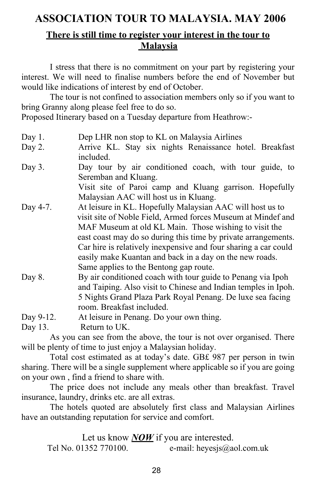# **ASSOCIATION TOUR TO MALAYSIA. MAY 2006**

### **There is still time to register your interest in the tour to Malaysia**

 I stress that there is no commitment on your part by registering your interest. We will need to finalise numbers before the end of November but would like indications of interest by end of October.

The tour is not confined to association members only so if you want to bring Granny along please feel free to do so.

Proposed Itinerary based on a Tuesday departure from Heathrow:-

- Day 1. Dep LHR non stop to KL on Malaysia Airlines Day 2. Arrive KL. Stay six nights Renaissance hotel. Breakfast included.
- Day 3. Day tour by air conditioned coach, with tour guide, to Seremban and Kluang.

Visit site of Paroi camp and Kluang garrison. Hopefully Malaysian AAC will host us in Kluang.

- Day 4-7. At leisure in KL. Hopefully Malaysian AAC will host us to visit site of Noble Field, Armed forces Museum at Mindef and MAF Museum at old KL Main. Those wishing to visit the east coast may do so during this time by private arrangements. Car hire is relatively inexpensive and four sharing a car could easily make Kuantan and back in a day on the new roads. Same applies to the Bentong gap route.
- Day 8. By air conditioned coach with tour guide to Penang via Ipoh and Taiping. Also visit to Chinese and Indian temples in Ipoh. 5 Nights Grand Plaza Park Royal Penang. De luxe sea facing room. Breakfast included.

Day 9-12. At leisure in Penang. Do your own thing.

Day 13. Return to UK.

As you can see from the above, the tour is not over organised. There will be plenty of time to just enjoy a Malaysian holiday.

Total cost estimated as at today's date. GB£ 987 per person in twin sharing. There will be a single supplement where applicable so if you are going on your own , find a friend to share with.

The price does not include any meals other than breakfast. Travel insurance, laundry, drinks etc. are all extras.

The hotels quoted are absolutely first class and Malaysian Airlines have an outstanding reputation for service and comfort.

Let us know **NOW** if you are interested. Tel No. 01352 770100. e-mail: heyesjs@aol.com.uk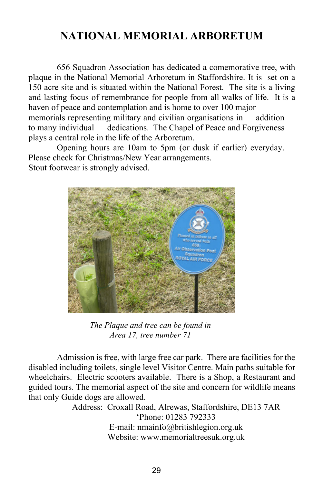# **NATIONAL MEMORIAL ARBORETUM**

 656 Squadron Association has dedicated a comemorative tree, with plaque in the National Memorial Arboretum in Staffordshire. It is set on a 150 acre site and is situated within the National Forest. The site is a living and lasting focus of remembrance for people from all walks of life. It is a haven of peace and contemplation and is home to over 100 major memorials representing military and civilian organisations in addition to many individual dedications. The Chapel of Peace and Forgiveness plays a central role in the life of the Arboretum.

 Opening hours are 10am to 5pm (or dusk if earlier) everyday. Please check for Christmas/New Year arrangements. Stout footwear is strongly advised.



*The Plaque and tree can be found in Area 17, tree number 71*

 Admission is free, with large free car park. There are facilities for the disabled including toilets, single level Visitor Centre. Main paths suitable for wheelchairs. Electric scooters available. There is a Shop, a Restaurant and guided tours. The memorial aspect of the site and concern for wildlife means that only Guide dogs are allowed.

 Address: Croxall Road, Alrewas, Staffordshire, DE13 7AR 'Phone: 01283 792333 E-mail: nmainfo@britishlegion.org.uk Website: www.memorialtreesuk.org.uk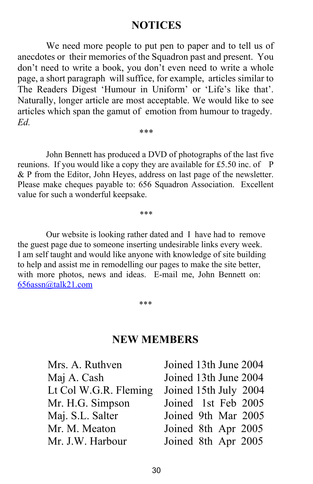### **NOTICES**

 We need more people to put pen to paper and to tell us of anecdotes or their memories of the Squadron past and present. You don't need to write a book, you don't even need to write a whole page, a short paragraph will suffice, for example, articles similar to The Readers Digest 'Humour in Uniform' or 'Life's like that'. Naturally, longer article are most acceptable. We would like to see articles which span the gamut of emotion from humour to tragedy. *Ed.*

John Bennett has produced a DVD of photographs of the last five reunions. If you would like a copy they are available for £5.50 inc. of P & P from the Editor, John Heyes, address on last page of the newsletter. Please make cheques payable to: 656 Squadron Association. Excellent value for such a wonderful keepsake.

*\*\*\**

*\*\*\**

 Our website is looking rather dated and I have had to remove the guest page due to someone inserting undesirable links every week. I am self taught and would like anyone with knowledge of site building to help and assist me in remodelling our pages to make the site better, with more photos, news and ideas. E-mail me, John Bennett on: 656assn@talk21.com

\*\*\*

### **NEW MEMBERS**

| Mrs. A. Ruthven       | Joined 13th June 2004 |
|-----------------------|-----------------------|
| Maj A. Cash           | Joined 13th June 2004 |
| Lt Col W.G.R. Fleming | Joined 15th July 2004 |
| Mr. H.G. Simpson      | Joined 1st Feb 2005   |
| Maj. S.L. Salter      | Joined 9th Mar 2005   |
| Mr. M. Meaton         | Joined 8th Apr 2005   |
| Mr. J.W. Harbour      | Joined 8th Apr 2005   |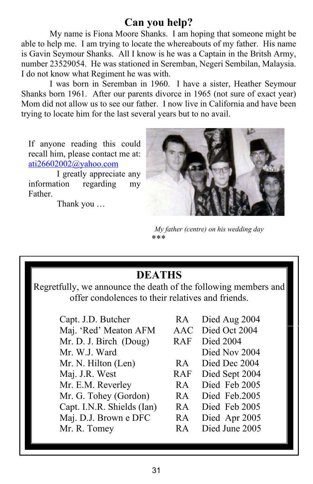# **Can you help?**

My name is Fiona Moore Shanks. I am hoping that someone might be able to help me. I am trying to locate the whereabouts of my father. His name is Gavin Seymour Shanks. All I know is he was a Captain in the Britsh Army, number 23529054. He was stationed in Seremban, Negeri Sembilan, Malaysia. I do not know what Regiment he was with.

 I was born in Seremban in 1960. I have a sister, Heather Seymour Shanks born 1961. After our parents divorce in 1965 (not sure of exact year) Mom did not allow us to see our father. I now live in California and have been trying to locate him for the last several years but to no avail.

If anyone reading this could recall him, please contact me at: ati26602002@yahoo.com

 I greatly appreciate any information regarding my **Father** 

Thank you …



 *My father (centre) on his wedding day* \*\*\*

Regretfully, we announce the death of the following members and offer condolences to their relatives and friends.

> Capt. J.D. Butcher RA Died Aug 2004<br>Mai 'Red' Meaton AFM AAC Died Oct 2004 Maj. 'Red' Meaton AFM Mr. D. J. Birch (Doug) RAF Died 2004 Mr. W.J. Ward Died Nov 2004 Mr. N. Hilton (Len) RA Died Dec 2004 Maj. J.R. West RAF Died Sept 2004 Mr. E.M. Reverley RA Died Feb 2005 Mr. G. Tohey (Gordon) RA Died Feb.2005 Capt. I.N.R. Shields (Ian) RA Died Feb 2005 Maj. D.J. Brown e DFC RA Died Apr 2005 Mr. R. Tomey RA Died June 2005

| RA | Died Aug 2004 |  |  |
|----|---------------|--|--|
|----|---------------|--|--|

- 
- -
	-
- -
- 
- 
- 
-